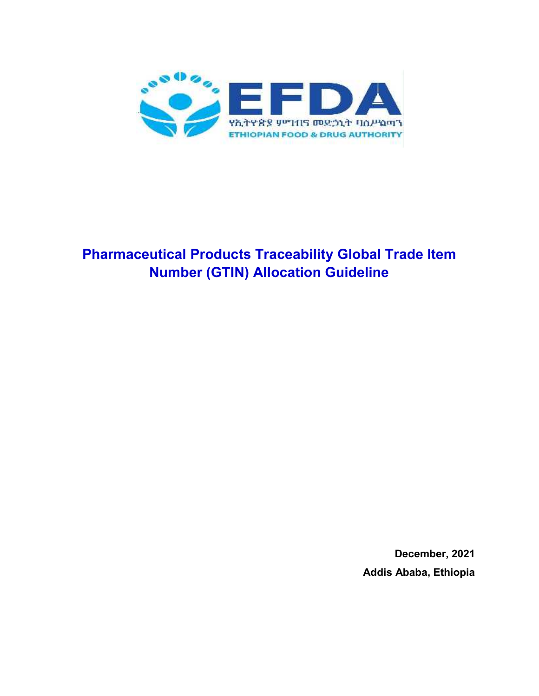

# **Pharmaceutical Products Traceability Global Trade Item Number (GTIN) Allocation Guideline**

**December, 2021 Addis Ababa, Ethiopia**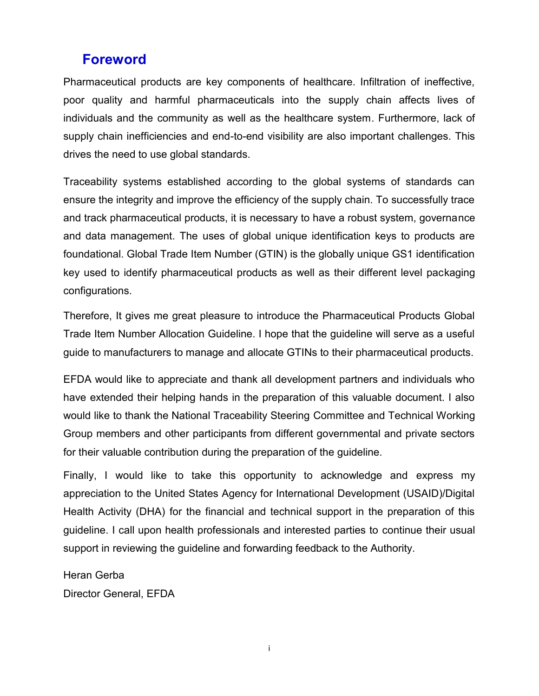## **Foreword**

Pharmaceutical products are key components of healthcare. Infiltration of ineffective, poor quality and harmful pharmaceuticals into the supply chain affects lives of individuals and the community as well as the healthcare system. Furthermore, lack of supply chain inefficiencies and end-to-end visibility are also important challenges. This drives the need to use global standards.

Traceability systems established according to the global systems of standards can ensure the integrity and improve the efficiency of the supply chain. To successfully trace and track pharmaceutical products, it is necessary to have a robust system, governance and data management. The uses of global unique identification keys to products are foundational. Global Trade Item Number (GTIN) is the globally unique GS1 identification key used to identify pharmaceutical products as well as their different level packaging configurations.

Therefore, It gives me great pleasure to introduce the Pharmaceutical Products Global Trade Item Number Allocation Guideline. I hope that the guideline will serve as a useful guide to manufacturers to manage and allocate GTINs to their pharmaceutical products.

EFDA would like to appreciate and thank all development partners and individuals who have extended their helping hands in the preparation of this valuable document. I also would like to thank the National Traceability Steering Committee and Technical Working Group members and other participants from different governmental and private sectors for their valuable contribution during the preparation of the guideline.

Finally, I would like to take this opportunity to acknowledge and express my appreciation to the United States Agency for International Development (USAID)/Digital Health Activity (DHA) for the financial and technical support in the preparation of this guideline. I call upon health professionals and interested parties to continue their usual support in reviewing the guideline and forwarding feedback to the Authority.

Heran Gerba

Director General, EFDA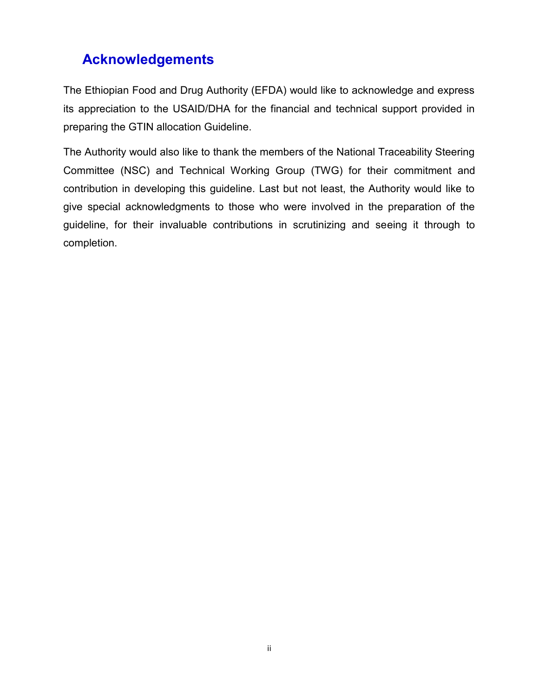# **Acknowledgements**

The Ethiopian Food and Drug Authority (EFDA) would like to acknowledge and express its appreciation to the USAID/DHA for the financial and technical support provided in preparing the GTIN allocation Guideline.

The Authority would also like to thank the members of the National Traceability Steering Committee (NSC) and Technical Working Group (TWG) for their commitment and contribution in developing this guideline. Last but not least, the Authority would like to give special acknowledgments to those who were involved in the preparation of the guideline, for their invaluable contributions in scrutinizing and seeing it through to completion.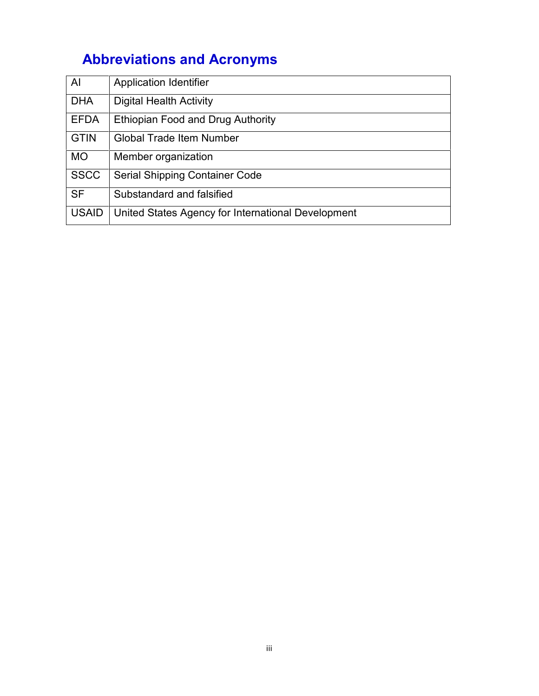# **Abbreviations and Acronyms**

| Al           | <b>Application Identifier</b>                      |
|--------------|----------------------------------------------------|
| <b>DHA</b>   | <b>Digital Health Activity</b>                     |
| <b>EFDA</b>  | Ethiopian Food and Drug Authority                  |
| <b>GTIN</b>  | <b>Global Trade Item Number</b>                    |
| <b>MO</b>    | Member organization                                |
| <b>SSCC</b>  | Serial Shipping Container Code                     |
| <b>SF</b>    | Substandard and falsified                          |
| <b>USAID</b> | United States Agency for International Development |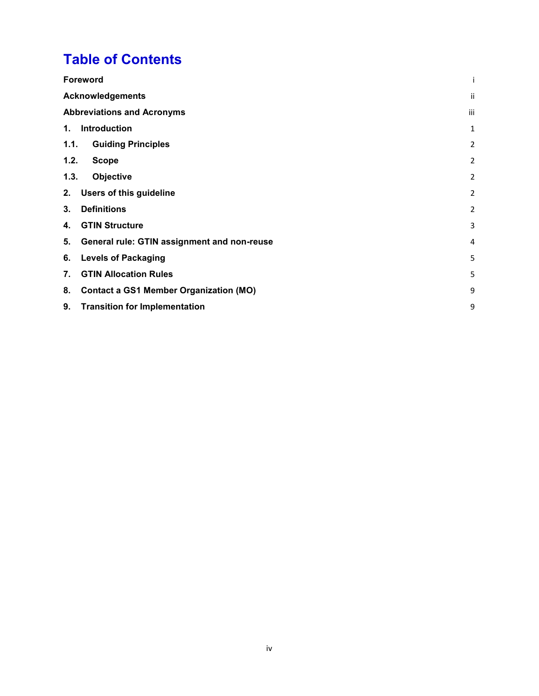# **Table of Contents**

| <b>Foreword</b>                   |                                               |   |
|-----------------------------------|-----------------------------------------------|---|
| <b>Acknowledgements</b>           | ii                                            |   |
| <b>Abbreviations and Acronyms</b> |                                               |   |
| 1.                                | Introduction                                  | 1 |
| 1.1.                              | <b>Guiding Principles</b>                     | 2 |
| 1.2.                              | <b>Scope</b>                                  | 2 |
| 1.3.                              | Objective                                     | 2 |
| 2.                                | <b>Users of this guideline</b>                | 2 |
| 3.                                | <b>Definitions</b>                            | 2 |
| 4.                                | <b>GTIN Structure</b>                         | 3 |
| 5.                                | General rule: GTIN assignment and non-reuse   | 4 |
| 6.                                | <b>Levels of Packaging</b>                    | 5 |
| 7.                                | <b>GTIN Allocation Rules</b>                  | 5 |
| 8.                                | <b>Contact a GS1 Member Organization (MO)</b> | 9 |
| 9.                                | <b>Transition for Implementation</b>          | 9 |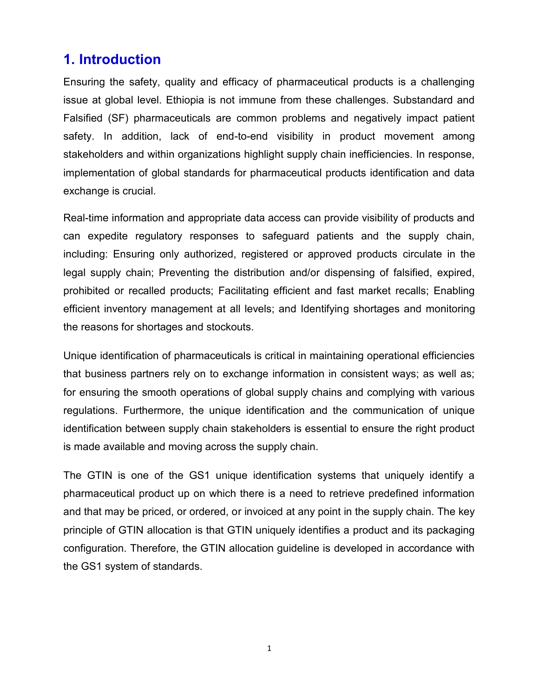## **1. Introduction**

Ensuring the safety, quality and efficacy of pharmaceutical products is a challenging issue at global level. Ethiopia is not immune from these challenges. Substandard and Falsified (SF) pharmaceuticals are common problems and negatively impact patient safety. In addition, lack of end-to-end visibility in product movement among stakeholders and within organizations highlight supply chain inefficiencies. In response, implementation of global standards for pharmaceutical products identification and data exchange is crucial.

Real-time information and appropriate data access can provide visibility of products and can expedite regulatory responses to safeguard patients and the supply chain, including: Ensuring only authorized, registered or approved products circulate in the legal supply chain; Preventing the distribution and/or dispensing of falsified, expired, prohibited or recalled products; Facilitating efficient and fast market recalls; Enabling efficient inventory management at all levels; and Identifying shortages and monitoring the reasons for shortages and stockouts.

Unique identification of pharmaceuticals is critical in maintaining operational efficiencies that business partners rely on to exchange information in consistent ways; as well as; for ensuring the smooth operations of global supply chains and complying with various regulations. Furthermore, the unique identification and the communication of unique identification between supply chain stakeholders is essential to ensure the right product is made available and moving across the supply chain.

The GTIN is one of the GS1 unique identification systems that uniquely identify a pharmaceutical product up on which there is a need to retrieve predefined information and that may be priced, or ordered, or invoiced at any point in the supply chain. The key principle of GTIN allocation is that GTIN uniquely identifies a product and its packaging configuration. Therefore, the GTIN allocation guideline is developed in accordance with the GS1 system of standards.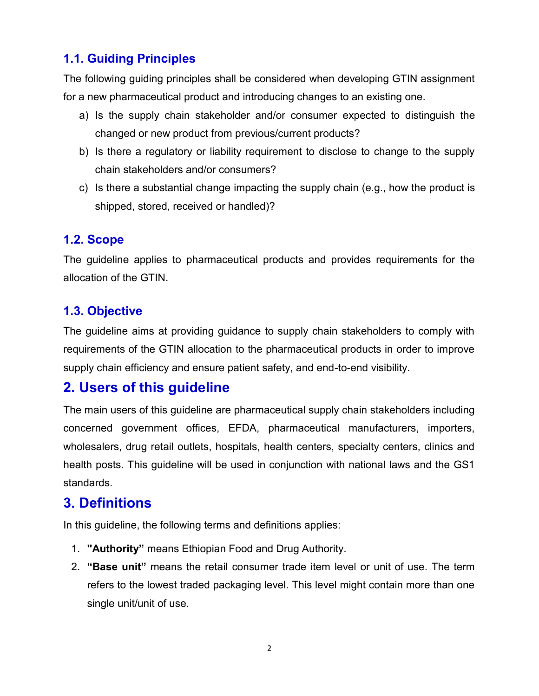## **1.1. Guiding Principles**

The following guiding principles shall be considered when developing GTIN assignment for a new pharmaceutical product and introducing changes to an existing one.

- a) Is the supply chain stakeholder and/or consumer expected to distinguish the changed or new product from previous/current products?
- b) Is there a regulatory or liability requirement to disclose to change to the supply chain stakeholders and/or consumers?
- c) Is there a substantial change impacting the supply chain (e.g., how the product is shipped, stored, received or handled)?

#### **1.2. Scope**

The guideline applies to pharmaceutical products and provides requirements for the allocation of the GTIN.

### **1.3. Objective**

The guideline aims at providing guidance to supply chain stakeholders to comply with requirements of the GTIN allocation to the pharmaceutical products in order to improve supply chain efficiency and ensure patient safety, and end-to-end visibility.

## **2. Users of this guideline**

The main users of this guideline are pharmaceutical supply chain stakeholders including concerned government offices, EFDA, pharmaceutical manufacturers, importers, wholesalers, drug retail outlets, hospitals, health centers, specialty centers, clinics and health posts. This guideline will be used in conjunction with national laws and the GS1 standards.

# **3. Definitions**

In this guideline, the following terms and definitions applies:

- 1. **"Authority"** means Ethiopian Food and Drug Authority.
- 2. **"Base unit"** means the retail consumer trade item level or unit of use. The term refers to the lowest traded packaging level. This level might contain more than one single unit/unit of use.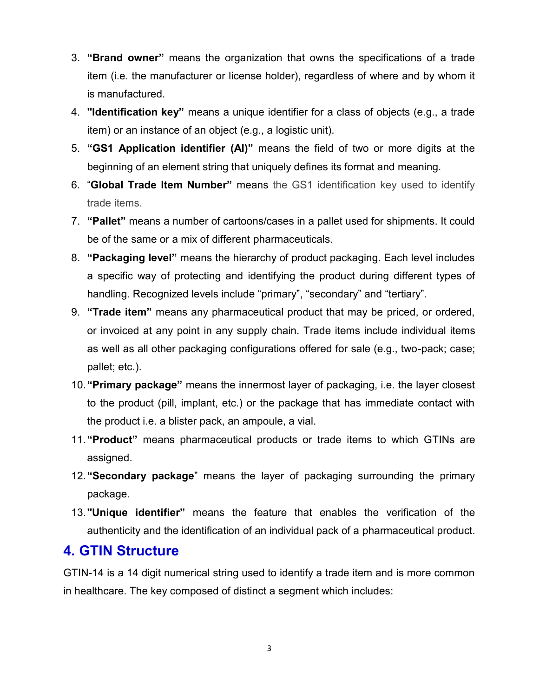- 3. **"Brand owner"** means the organization that owns the specifications of a trade item (i.e. the manufacturer or license holder), regardless of where and by whom it is manufactured.
- 4. **"Identification key"** means a unique identifier for a class of objects (e.g., a trade item) or an instance of an object (e.g., a logistic unit).
- 5. **"GS1 Application identifier (AI)"** means the field of two or more digits at the beginning of an element string that uniquely defines its format and meaning.
- 6. "**Global Trade Item Number"** means the GS1 identification key used to identify trade items.
- 7. **"Pallet"** means a number of cartoons/cases in a pallet used for shipments. It could be of the same or a mix of different pharmaceuticals.
- 8. **"Packaging level"** means the hierarchy of product packaging. Each level includes a specific way of protecting and identifying the product during different types of handling. Recognized levels include "primary", "secondary" and "tertiary".
- 9. **"Trade item"** means any pharmaceutical product that may be priced, or ordered, or invoiced at any point in any supply chain. Trade items include individual items as well as all other packaging configurations offered for sale (e.g., two-pack; case; pallet; etc.).
- 10.**"Primary package"** means the innermost layer of packaging, i.e. the layer closest to the product (pill, implant, etc.) or the package that has immediate contact with the product i.e. a blister pack, an ampoule, a vial.
- 11.**"Product"** means pharmaceutical products or trade items to which GTINs are assigned.
- 12.**"Secondary package**" means the layer of packaging surrounding the primary package.
- 13.**"Unique identifier"** means the feature that enables the verification of the authenticity and the identification of an individual pack of a pharmaceutical product.

## **4. GTIN Structure**

GTIN-14 is a 14 digit numerical string used to identify a trade item and is more common in healthcare. The key composed of distinct a segment which includes: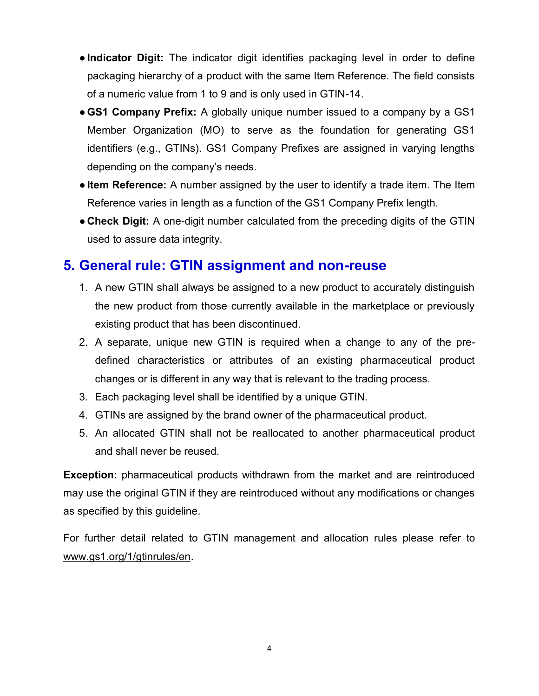- ●**Indicator Digit:** The indicator digit identifies packaging level in order to define packaging hierarchy of a product with the same Item Reference. The field consists of a numeric value from 1 to 9 and is only used in GTIN-14.
- ●**GS1 Company Prefix:** A globally unique number issued to a company by a GS1 Member Organization (MO) to serve as the foundation for generating GS1 identifiers (e.g., GTINs). GS1 Company Prefixes are assigned in varying lengths depending on the company's needs.
- ●**Item Reference:** A number assigned by the user to identify a trade item. The Item Reference varies in length as a function of the GS1 Company Prefix length.
- **Check Digit:** A one-digit number calculated from the preceding digits of the GTIN used to assure data integrity.

# **5. General rule: GTIN assignment and non-reuse**

- 1. A new GTIN shall always be assigned to a new product to accurately distinguish the new product from those currently available in the marketplace or previously existing product that has been discontinued.
- 2. A separate, unique new GTIN is required when a change to any of the pre defined characteristics or attributes of an existing pharmaceutical product changes or is different in any way that is relevant to the trading process.
- 3. Each packaging level shall be identified by a unique GTIN.
- 4. GTINs are assigned by the brand owner of the pharmaceutical product.
- 5. An allocated GTIN shall not be reallocated to another pharmaceutical product and shall never be reused.

**Exception:** pharmaceutical products withdrawn from the market and are reintroduced may use the original GTIN if they are reintroduced without any modifications or changes as specified by this guideline.

For further detail related to GTIN management and allocation rules please refer to www.gs1.org/1/gtinrules/en.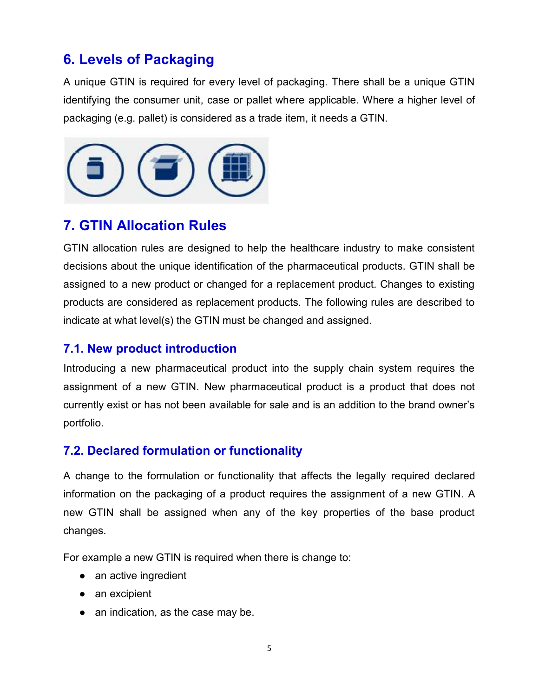# **6. Levels of Packaging**

A unique GTIN is required for every level of packaging. There shall be a unique GTIN identifying the consumer unit, case or pallet where applicable. Where a higher level of packaging (e.g. pallet) is considered as a trade item, it needs a GTIN.



# **7. GTIN Allocation Rules**

GTIN allocation rules are designed to help the healthcare industry to make consistent decisions about the unique identification of the pharmaceutical products. GTIN shall be assigned to a new product or changed for a replacement product. Changes to existing products are considered as replacement products. The following rules are described to indicate at what level(s) the GTIN must be changed and assigned.

### **7.1. New product introduction**

Introducing a new pharmaceutical product into the supply chain system requires the assignment of a new GTIN. New pharmaceutical product is a product that does not currently exist or has not been available for sale and is an addition to the brand owner's portfolio.

### **7.2. Declared formulation or functionality**

A change to the formulation or functionality that affects the legally required declared information on the packaging of a product requires the assignment of a new GTIN. A new GTIN shall be assigned when any of the key properties of the base product changes.

For example a new GTIN is required when there is change to:

- an active ingredient
- an excipient
- an indication, as the case may be.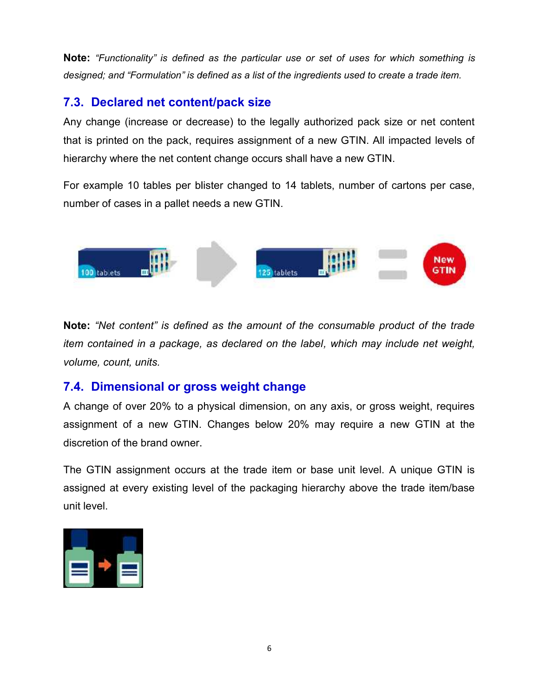**Note:** *"Functionality" is defined as the particular use or set of uses for which something is* **Note:** "Functionality" is defined as the particular use or set of uses for which something is<br>designed; and "Formulation" is defined as a list of the ingredients used to create a trade item.

## **7.3. Declared net content/pack size 7.3.net**

Any change (increase or decrease) to the legally authorized pack size or net content that is printed on the pack, requires assignment of a new GTIN. All impacted levels of hierarchy where the net content change occurs shall have a new GTIN. change (increase or decrease) to the legally authorized pack size<br>is printed on the pack, requires assignment of a new GTIN. All imp<br>irchy where the net content change occurs shall have a new GTIN.<br>example 10 tables per bl

For example 10 tables per blister changed to 14 tablets, number of cartons per case, number of cases in a pallet needs a new GTIN.



**Note:** *"Net content" is defined as the amount of the consumable product of the trade* **Note:** "Net content" is defined as the amount of the consumable product of the trade<br>item contained in a package, as declared on the label, which may include net weight, *volume, count, units.*

### **7.4. Dimensional or gross weight change 7.4.gross**

A change of over 20% to a physical dimension, on any axis, or gross weight, requires A change of over 20% to a physical dimension, on any axis, or gross weight, requires<br>assignment of a new GTIN. Changes below 20% may require a new GTIN at the discretion of the brand owner.

The GTIN assignment occurs at the trade item or base unit level. A unique GTIN is assigned at every existing level of the packaging hierarchy above the trade item/base unit level.

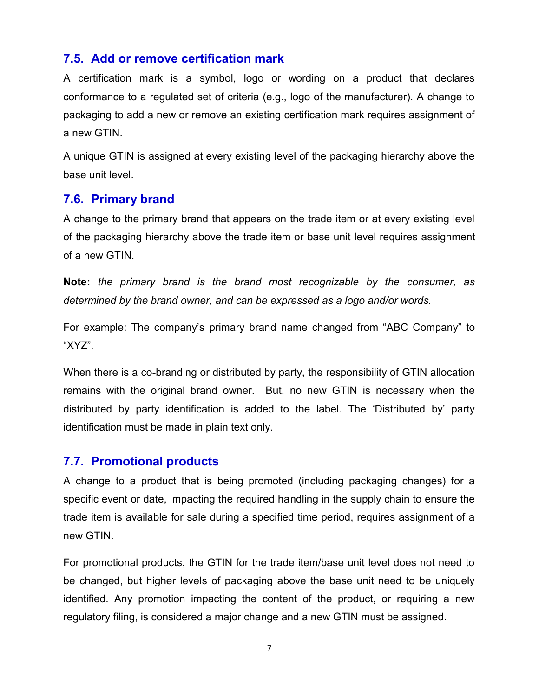#### **7.5. Add or remove certification mark**

A certification mark is a symbol, logo or wording on a product that declares conformance to a regulated set of criteria (e.g., logo of the manufacturer). A change to packaging to add a new or remove an existing certification mark requires assignment of a new GTIN.

A unique GTIN is assigned at every existing level of the packaging hierarchy above the base unit level.

#### **7.6. Primary brand**

A change to the primary brand that appears on the trade item or at every existing level of the packaging hierarchy above the trade item or base unit level requires assignment of a new GTIN.

**Note:** *the primary brand is the brand most recognizable by the consumer, as determined by the brand owner, and can be expressed as a logo and/or words.*

For example: The company's primary brand name changed from "ABC Company" to "XYZ".

When there is a co-branding or distributed by party, the responsibility of GTIN allocation remains with the original brand owner. But, no new GTIN is necessary when the distributed by party identification is added to the label. The 'Distributed by' party identification must be made in plain text only.

#### **7.7. Promotional products**

A change to a product that is being promoted (including packaging changes) for a specific event or date, impacting the required handling in the supply chain to ensure the trade item is available for sale during a specified time period, requires assignment of a new GTIN.

For promotional products, the GTIN for the trade item/base unit level does not need to be changed, but higher levels of packaging above the base unit need to be uniquely identified. Any promotion impacting the content of the product, or requiring a new regulatory filing, is considered a major change and a new GTIN must be assigned.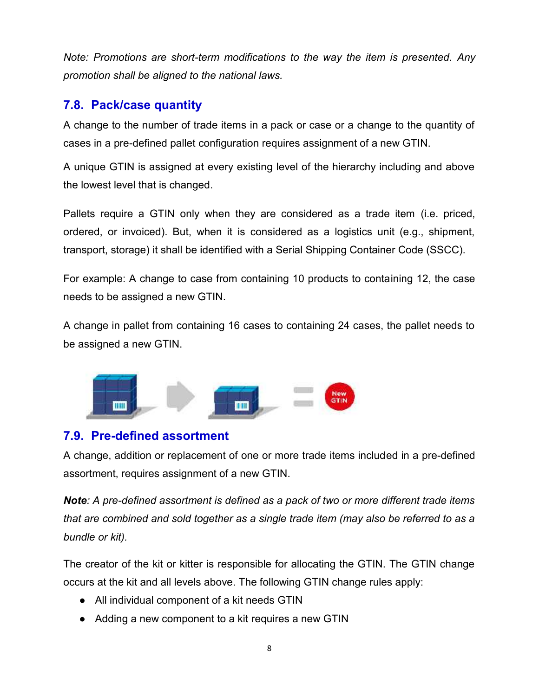*Note: Promotions are short-term modifications to the way the item is presented. Any are short-term modifications the Anyaligned promotion shall be aligned to the national laws.*

### **7.8. Pack/case quantity 7.8.**

A change to the number of trade items in a pack or case or a change to the quantity of cases in a pre-defined pallet configuration requires assignment of a new GTIN.

A unique GTIN is assigned at every existing level of the hierarchy including and above the lowest level that is changed.

Pallets require a GTIN only when they are considered as a trade item (i.e. priced, ordered, or invoiced). But, when it is considered as a logistics unit (e.g., shipment, transport, storage) it shall be identified with a Serial Shipping Container Code (SSCC). ses in a pre-defined pallet configuration requires assignment of a new GTIN.<br>unique GTIN is assigned at every existing level of the hierarchy including and above<br>slowest level that is changed.<br>allets require a GTIN only wh

For example: A change to case from containing 10 products to containing 12, the case needs to be assigned a new GTIN.

A change in pallet from containing 16 cases to containing 24 cases, the pallet needs to be assigned a new GTIN.



#### **7.9. Pre-defined assortment 7.9.Pre-defined**

A change, addition or replacement of one or more trade items included in a pre-defined assortment, requires assignment of a new GTIN.

*Note: A pre-defined assortment is defined as a pack of two or more different trade items that are combined and sold together as a single trade item (may also be referred to as a bundle or kit).* **a**: A pre-defined assortment is defined as a pack of two or mo<br>are combined and sold together as a single trade item (may<br>dle or kit).

The creator of the kit or kitter is responsible for allocating the GTIN. The GTIN change occurs at the kit and all levels above. The following GTIN change rules apply: the kit or kitter is responsible for allocating the<br>it and all levels above. The following GTIN chang<br>idual component of a kit needs GTIN<br>a new component to a kit requires a new GTIN

- All individual component of a kit needs GTIN
- Adding a new component to a kit requires a new GTIN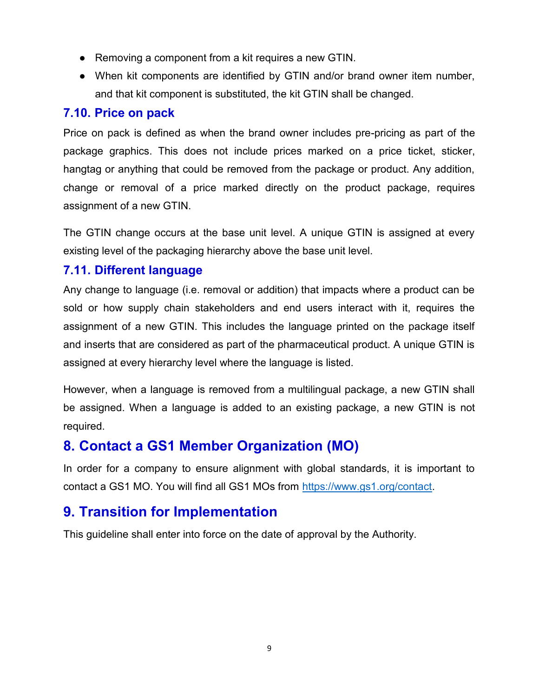- Removing a component from a kit requires a new GTIN.
- When kit components are identified by GTIN and/or brand owner item number, and that kit component is substituted, the kit GTIN shall be changed.

#### **7.10. Price on pack**

Price on pack is defined as when the brand owner includes pre-pricing as part of the package graphics. This does not include prices marked on a price ticket, sticker, hangtag or anything that could be removed from the package or product. Any addition, change or removal of a price marked directly on the product package, requires assignment of a new GTIN.

The GTIN change occurs at the base unit level. A unique GTIN is assigned at every existing level of the packaging hierarchy above the base unit level.

#### **7.11. Different language**

Any change to language (i.e. removal or addition) that impacts where a product can be sold or how supply chain stakeholders and end users interact with it, requires the assignment of a new GTIN. This includes the language printed on the package itself and inserts that are considered as part of the pharmaceutical product. A unique GTIN is assigned at every hierarchy level where the language is listed.

However, when a language is removed from a multilingual package, a new GTIN shall be assigned. When a language is added to an existing package, a new GTIN is not required.

# **8. Contact a GS1 Member Organization (MO)**

In order for a company to ensure alignment with global standards, it is important to contact a GS1 MO. You will find all GS1 MOs from https://www.gs1.org/contact.

## **9. Transition for Implementation**

This guideline shall enter into force on the date of approval by the Authority.